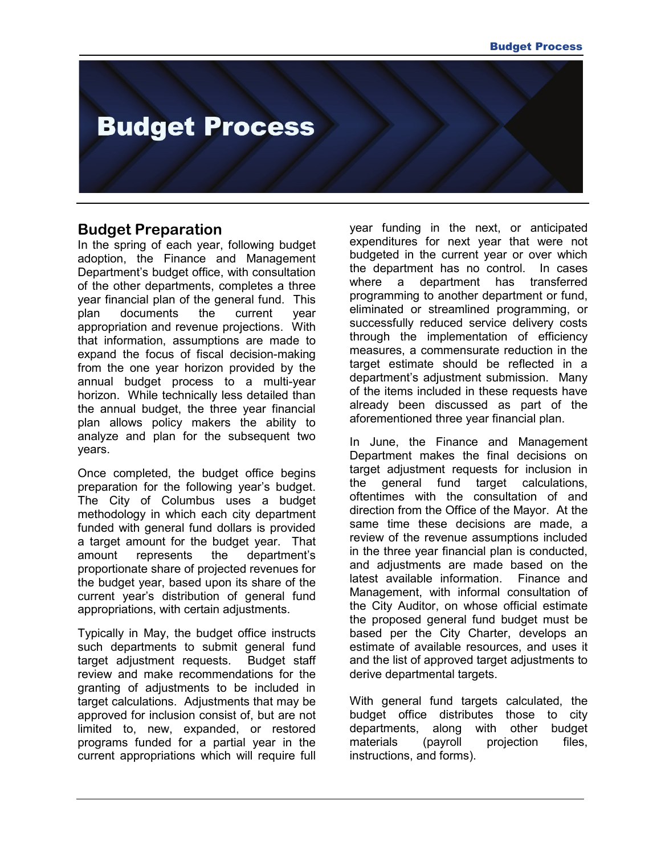# **Budget Process**

#### **Budget Preparation**

In the spring of each year, following budget adoption, the Finance and Management Department's budget office, with consultation of the other departments, completes a three year financial plan of the general fund. This plan documents the current year appropriation and revenue projections. With that information, assumptions are made to expand the focus of fiscal decision-making from the one year horizon provided by the annual budget process to a multi-year horizon. While technically less detailed than the annual budget, the three year financial plan allows policy makers the ability to analyze and plan for the subsequent two years.

Once completed, the budget office begins preparation for the following year's budget. The City of Columbus uses a budget methodology in which each city department funded with general fund dollars is provided a target amount for the budget year. That amount represents the department's proportionate share of projected revenues for the budget year, based upon its share of the current year's distribution of general fund appropriations, with certain adjustments.

Typically in May, the budget office instructs such departments to submit general fund target adjustment requests. Budget staff review and make recommendations for the granting of adjustments to be included in target calculations. Adjustments that may be approved for inclusion consist of, but are not limited to, new, expanded, or restored programs funded for a partial year in the current appropriations which will require full

year funding in the next, or anticipated expenditures for next year that were not budgeted in the current year or over which the department has no control. In cases where a department has transferred programming to another department or fund, eliminated or streamlined programming, or successfully reduced service delivery costs through the implementation of efficiency measures, a commensurate reduction in the target estimate should be reflected in a department's adjustment submission. Many of the items included in these requests have already been discussed as part of the aforementioned three year financial plan.

In June, the Finance and Management Department makes the final decisions on target adjustment requests for inclusion in the general fund target calculations, oftentimes with the consultation of and direction from the Office of the Mayor. At the same time these decisions are made, a review of the revenue assumptions included in the three year financial plan is conducted, and adjustments are made based on the latest available information. Finance and Management, with informal consultation of the City Auditor, on whose official estimate the proposed general fund budget must be based per the City Charter, develops an estimate of available resources, and uses it and the list of approved target adjustments to derive departmental targets.

With general fund targets calculated, the budget office distributes those to city departments, along with other budget materials (payroll projection files, instructions, and forms).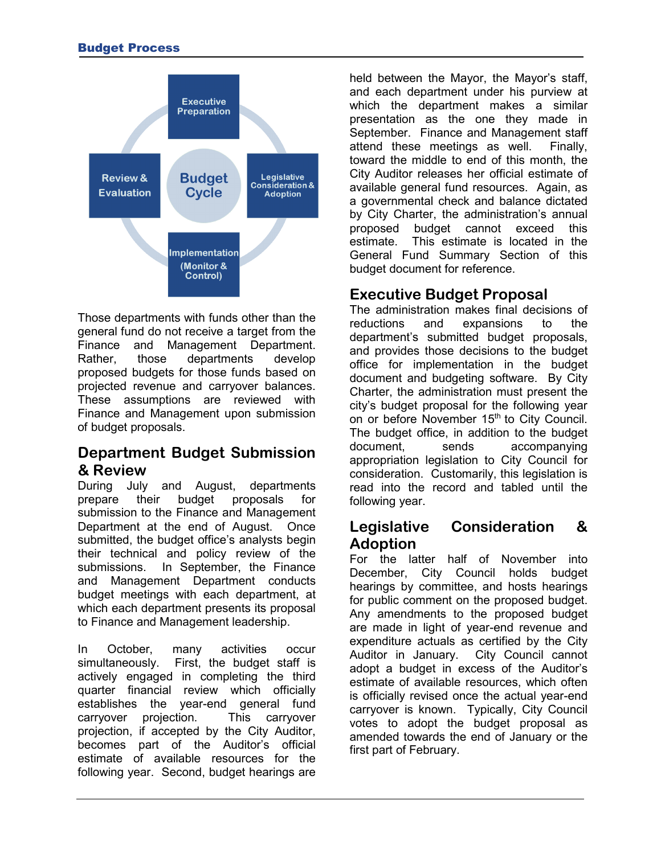

Those departments with funds other than the general fund do not receive a target from the Finance and Management Department. Rather, those departments develop proposed budgets for those funds based on projected revenue and carryover balances. These assumptions are reviewed with Finance and Management upon submission of budget proposals.

# **Department Budget Submission & Review**

During July and August, departments prepare their budget proposals for submission to the Finance and Management Department at the end of August. Once submitted, the budget office's analysts begin their technical and policy review of the submissions. In September, the Finance and Management Department conducts budget meetings with each department, at which each department presents its proposal to Finance and Management leadership.

In October, many activities occur simultaneously. First, the budget staff is actively engaged in completing the third quarter financial review which officially establishes the year-end general fund carryover projection. This carryover projection, if accepted by the City Auditor, becomes part of the Auditor's official estimate of available resources for the following year. Second, budget hearings are

held between the Mayor, the Mayor's staff, and each department under his purview at which the department makes a similar presentation as the one they made in September. Finance and Management staff attend these meetings as well. Finally, toward the middle to end of this month, the City Auditor releases her official estimate of available general fund resources. Again, as a governmental check and balance dictated by City Charter, the administration's annual proposed budget cannot exceed this estimate. This estimate is located in the General Fund Summary Section of this budget document for reference.

# **Executive Budget Proposal**

The administration makes final decisions of<br>reductions and expansions to the reductions and expansions to the department's submitted budget proposals, and provides those decisions to the budget office for implementation in the budget document and budgeting software. By City Charter, the administration must present the city's budget proposal for the following year on or before November 15<sup>th</sup> to City Council. The budget office, in addition to the budget document, sends accompanying appropriation legislation to City Council for consideration. Customarily, this legislation is read into the record and tabled until the following year.

## **Legislative Consideration & Adoption**

For the latter half of November into December, City Council holds budget hearings by committee, and hosts hearings for public comment on the proposed budget. Any amendments to the proposed budget are made in light of year-end revenue and expenditure actuals as certified by the City Auditor in January. City Council cannot adopt a budget in excess of the Auditor's estimate of available resources, which often is officially revised once the actual year-end carryover is known. Typically, City Council votes to adopt the budget proposal as amended towards the end of January or the first part of February.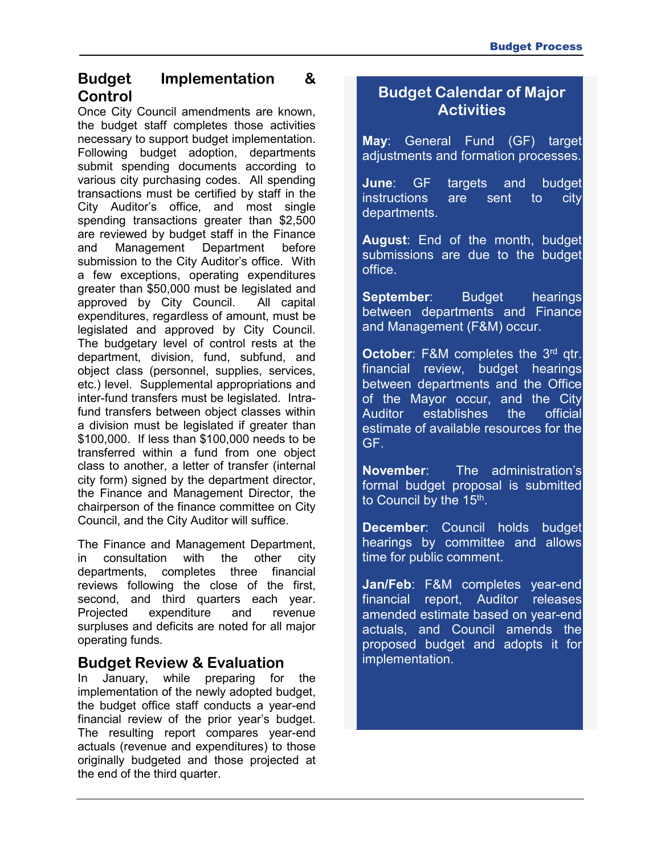## **Budget Implementation & Control**

Once City Council amendments are known, the budget staff completes those activities necessary to support budget implementation. Following budget adoption, departments submit spending documents according to various city purchasing codes. All spending transactions must be certified by staff in the City Auditor's office, and most single spending transactions greater than \$2,500 are reviewed by budget staff in the Finance and Management Department before submission to the City Auditor's office. With a few exceptions, operating expenditures greater than \$50,000 must be legislated and approved by City Council. All capital expenditures, regardless of amount, must be legislated and approved by City Council. The budgetary level of control rests at the department, division, fund, subfund, and object class (personnel, supplies, services, etc.) level. Supplemental appropriations and inter-fund transfers must be legislated. Intrafund transfers between object classes within a division must be legislated if greater than \$100,000. If less than \$100,000 needs to be transferred within a fund from one object class to another, a letter of transfer (internal city form) signed by the department director, the Finance and Management Director, the chairperson of the finance committee on City Council, and the City Auditor will suffice.

The Finance and Management Department, in consultation with the other city departments, completes three financial reviews following the close of the first, second, and third quarters each year. Projected expenditure and revenue surpluses and deficits are noted for all major operating funds.

## **Budget Review & Evaluation**

In January, while preparing for the implementation of the newly adopted budget, the budget office staff conducts a year-end financial review of the prior year's budget. The resulting report compares year-end actuals (revenue and expenditures) to those originally budgeted and those projected at the end of the third quarter.

## **Budget Calendar of Major Activities**

**May**: General Fund (GF) target adjustments and formation processes.

**June**: GF targets and budget instructions are sent to city departments.

**August**: End of the month, budget submissions are due to the budget office.

**September:** Budget hearings between departments and Finance and Management (F&M) occur.

**October:** F&M completes the 3<sup>rd</sup> qtr. financial review, budget hearings between departments and the Office of the Mayor occur, and the City Auditor establishes the official estimate of available resources for the GF.

**November**: The administration's formal budget proposal is submitted to Council by the 15<sup>th</sup>.

**December**: Council holds budget hearings by committee and allows time for public comment.

**Jan/Feb**: F&M completes year-end financial report, Auditor releases amended estimate based on year-end actuals, and Council amends the proposed budget and adopts it for implementation.